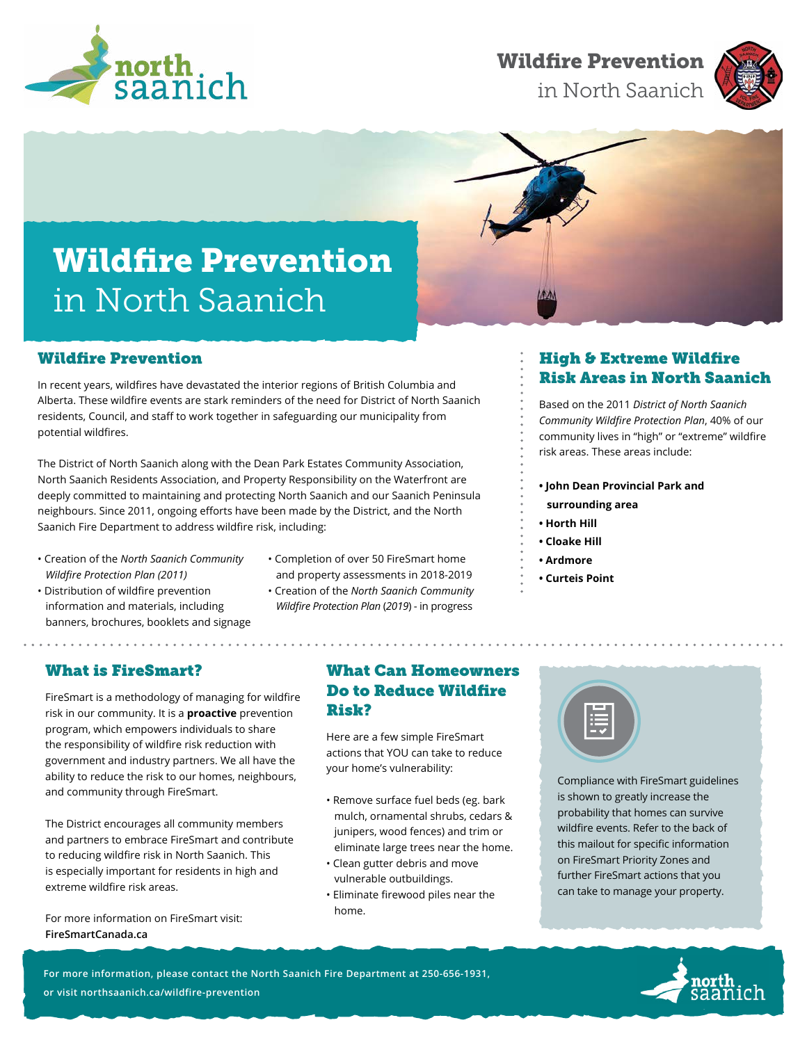

## Wildfire Prevention

in North Saanich



# Wildfire Prevention in North Saanich



## Wildfire Prevention

In recent years, wildfires have devastated the interior regions of British Columbia and Alberta. These wildfire events are stark reminders of the need for District of North Saanich residents, Council, and staff to work together in safeguarding our municipality from potential wildfires.

The District of North Saanich along with the Dean Park Estates Community Association, North Saanich Residents Association, and Property Responsibility on the Waterfront are deeply committed to maintaining and protecting North Saanich and our Saanich Peninsula neighbours. Since 2011, ongoing efforts have been made by the District, and the North Saanich Fire Department to address wildfire risk, including:

- Creation of the *North Saanich Community Wildfire Protection Plan (2011)*
- Distribution of wildfire prevention information and materials, including banners, brochures, booklets and signage
- Completion of over 50 FireSmart home and property assessments in 2018-2019
- Creation of the *North Saanich Community Wildfire Protection Plan* (*2019*) - in progress

## High & Extreme Wildfire Risk Areas in North Saanich

Based on the 2011 *District of North Saanich Community Wildfire Protection Plan*, 40% of our community lives in "high" or "extreme" wildfire risk areas. These areas include:

- **John Dean Provincial Park and**
	- **surrounding area**
- **Horth Hill**
- **Cloake Hill**
- **Ardmore**
- **Curteis Point**

### What is FireSmart?

. . . . . . . . . . . . . .

FireSmart is a methodology of managing for wildfire risk in our community. It is a **proactive** prevention program, which empowers individuals to share the responsibility of wildfire risk reduction with government and industry partners. We all have the ability to reduce the risk to our homes, neighbours, and community through FireSmart.

The District encourages all community members and partners to embrace FireSmart and contribute to reducing wildfire risk in North Saanich. This is especially important for residents in high and extreme wildfire risk areas.

For more information on FireSmart visit: **[FireSmartCanada.ca](http://FireSmartCanada.ca)**

#### What Can Homeowners Do to Reduce Wildfire Risk?

Here are a few simple FireSmart actions that YOU can take to reduce your home's vulnerability:

- Remove surface fuel beds (eg. bark mulch, ornamental shrubs, cedars & junipers, wood fences) and trim or eliminate large trees near the home.
- Clean gutter debris and move vulnerable outbuildings.
- Eliminate firewood piles near the home.



Compliance with FireSmart guidelines is shown to greatly increase the probability that homes can survive wildfire events. Refer to the back of this mailout for specific information on FireSmart Priority Zones and further FireSmart actions that you can take to manage your property.

**For more information, please contact the North Saanich Fire Department at 250-656-1931, or visit [northsaanich.ca/wildfire-prevention](http://northsaanich.ca/wildfire-prevention)**